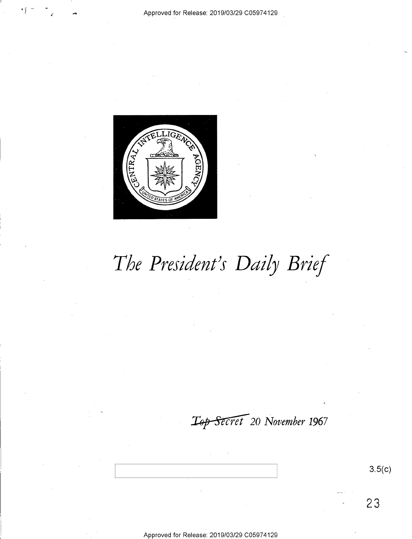

# *The President's Daily Brief*

 $L_{\rm 9P}$  Secret 20 November 1967

**3.5(c)** 

**23**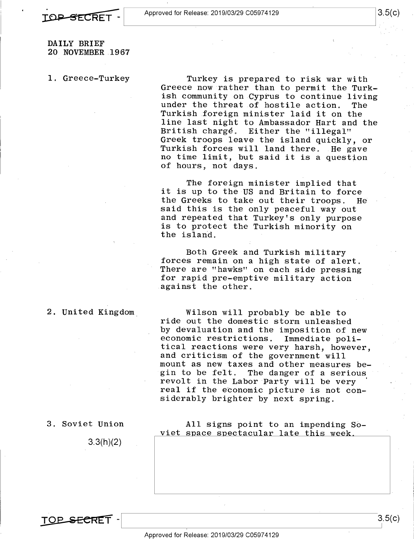

DAILY BRIEF 20 NOVEMBER 1967

1. Greece-Turkey

Turkey is prepared to risk war with Greece now rather than to permit the Turkish community on Cyprus to continue living under the threat of hostile action. The Turkish foreign minister laid it on the line last night to Ambassador Hart and the British charge. Either the "illegal" Greek troops leave the island quickly, or Turkish forces will land there. He gave no time limit, but said it is a question of hours, not days.

The foreign minister implied that it is up to the US and Britain to force<br>the Greeks to take out their troops. He the Greeks to take out their troops. said this is the only peaceful way out and repeated that Turkey's only purpose is to protect the Turkish minority on the island.

Both Greek and Turkish military forces remain on a high state of alert. There are "hawks" on each side pressing for rapid pre-emptive military action against the other.

Wilson will probably be able to ride out the domestic storm unleashed by devaluation and the imposition of new<br>economic restrictions. Immediate polieconomic restrictions. tical reactions were very harsh, however, and criticism of the government will mount as new taxes and other measures begin to be felt. The danger of a serious revolt in the Labor Party will be very real if the economic picture is not considerably brighter by next spring.

3. Soviet Union

2. United Kingdom.

3.3(h)(2)

All signs point to an impending Soviet space spectacular late this week.

TO<del>P SECRE</del>T

3.5(c)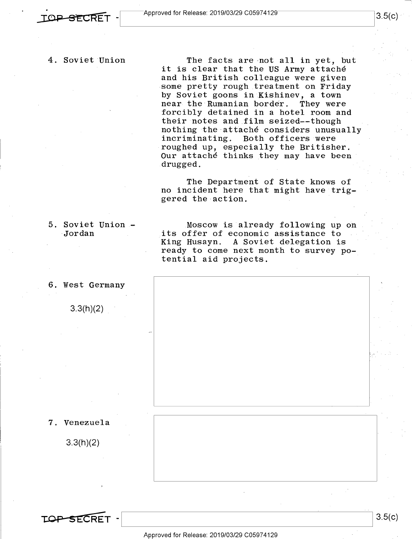### 4. Soviet Union

The facts are not all in yet, but it is clear that the US Army attaché and his British colleague were given some pretty rough treatment on Friday by Soviet goons in Kishinev, a town<br>near the Rumanian border. They were near the Rumanian border. forcibly detained in a hotel room and their notes and film seized--though nothing the attache considers unusually<br>incriminating. Both officers were Both officers were roughed up, especially the Britisher. Our attache thinks they may have been drugged.

The Department of State knows of no incident here that might have triggered the action.

5. Soviet Union - Jordan

Moscow is already following up on its offer of economic assistance to King Husayn. A Soviet delegation is ready to come next month to survey potential aid projects.

6. West Germany

3.3(h)(2)

7. Venezuela

3.3(h)(2)

3.5(c)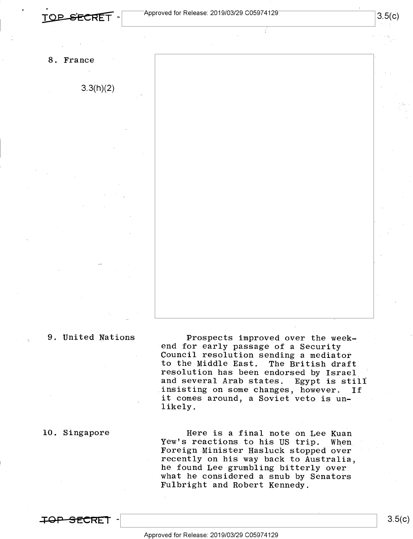#### 8. France

3.3(h)(2)



### 9. United Nations

10. Singapore

Prospects improved over the weekend for early passage of a Security Council resolution sending a mediator to the Middle East. resolution has been endorsed by Israel and several Arab states. Egypt is still<br>insisting on some changes, however. If insisting on some changes, however. it comes around, a Soviet veto is unlikely.

Here is a final note on Lee Kuan Yew's reactions to his US trip. When Foreign Minister Hasluck stopped over recently on his way back to Australia, he found Lee grumbling bitterly over what he considered a snub by Senators Fulbright and Robert Kennedy.

**:ror SECRET** -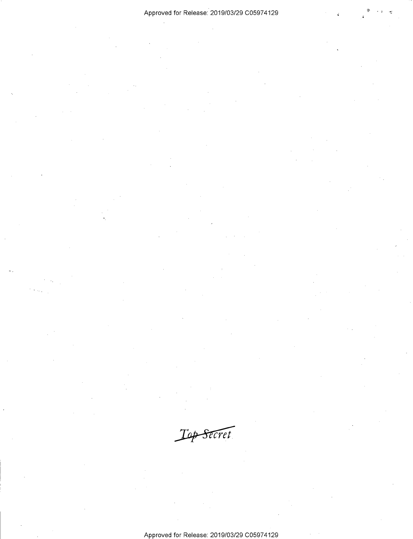Top Secret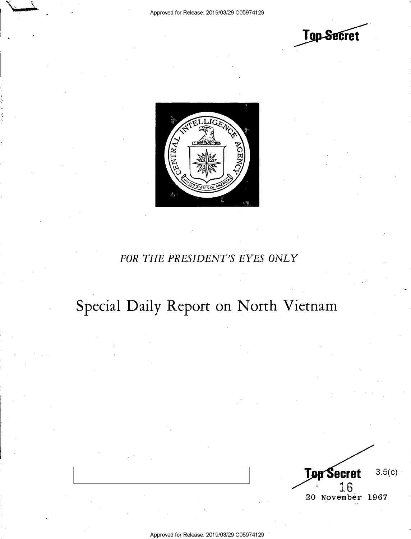



## *FOR THE PRESIDENT'S EYES ONLY*

## Special Daily Report on North Vietnam

**Top Secret** 3.5(c) 16 20 November 1967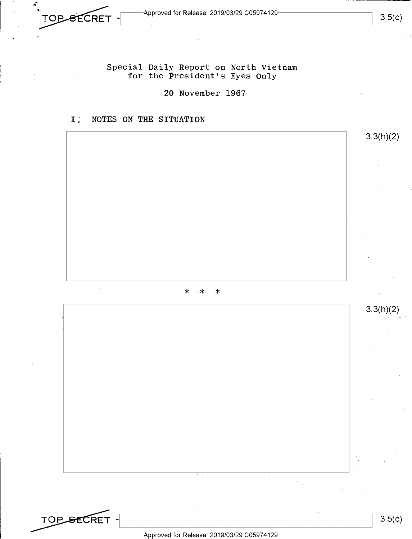$-$ Approved for Release: 2019/03/29 C05974129 $-$ 

Special Daily Report on North Vietnam for the President's Eyes Only

20 November 1967

## I NOTES ON THE SITUATION

**TOP SECRET** 

\* \* \*

3.5(c)

3.3(h)(2)

3.3(h)(2)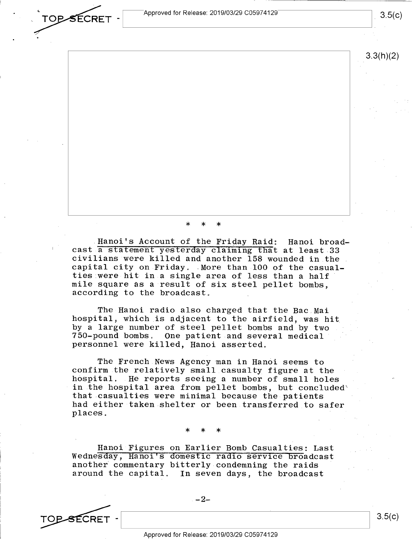Approved for Release: 2019/03/29 C05974129

3.5(c)

3.3(h)(2)

\* \* \*

Hanoi's Account of the Friday Raid: Hanoi broadcast a statement yesterday claiming that at least 33 civilians were killed and another 158 wounded in the capital city on Friday. More than 100 of the casualcapital city on Friday. More than 100 of the casual-<br>ties were hit in a single area of less than a half mile square as a result of six steel pellet bombs, according to the broadcast.

The Hanoi radio also charged that the Bae Mai hospital, which is adjacent to the airfield, was hit by a large number of steel pellet bombs and by two 750-pound bombs. One patient and several medical personnel were killed, Hanoi asserted,

The French News Agency man in Hanoi seems to confirm the relatively small casualty figure at the hospital. He reports seeing a number of small holes in the hospital area from pellet bombs, but concluded' that casualties were minimal because the patients had either taken shelter or been transferred to safer places.

\* \* \*

Hanoi Figures on Earlier Bomb Casualties: Last Wednesday, Hanoi's domestic radio service broadcast another commentary bitterly condemning the raids<br>around the capital. In seven days, the broadcas In seven days, the broadcast

 $-2-$ 

TOP SECRET - 2-<br>3.5(c)

TOPSECRET –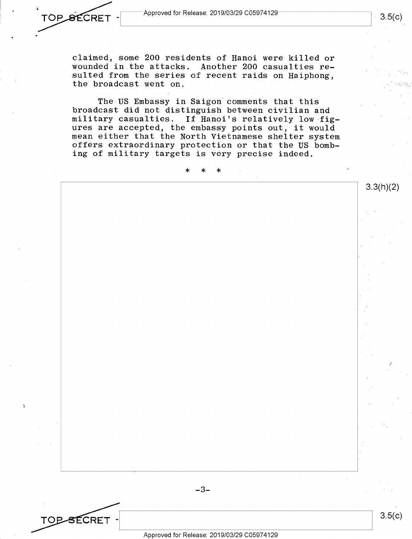**TOP SECRET** 

TOP-SECRET

claimed, some 200 residents of Hanoi were killed or wounded in the attacks. Another 200 casualties resulted from the series of recent raids on Haiphong, the broadcast went on.

The US Embassy in Saigon comments that this broadcast did not distinguish between civilian and military casualties, If Hanoi's relatively low figures are accepted, the embassy points out, it would mean either that the North Vietnamese shelter system offers extraordinary protection or that the US bombing of military targets is very precise indeed.

\* \* \* 3.3(h)(2) *I* 

3.5(c)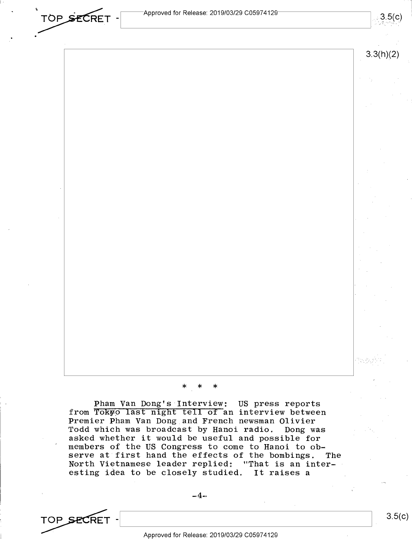TOP SECRET -

 $3.5(c)$ 



#### \* \* \*

Pham Van Dong's Interview: US press reports from Tokyo last night tell of an interview between Premier Pham Van Dong and French newsman Olivier Todd which was broadcast by Hanoi radio. Dong was asked whether it would be useful and possible for members of the US Congress to come to Hanoi to observe at first hand the effects of the bombings. The North Vietnamese leader replied: "That is an interesting idea to be closely studied. It raises a

 $-4-$ 

TOP SECRET - APPROVED FOR PRICES 2010/03/20 C05074120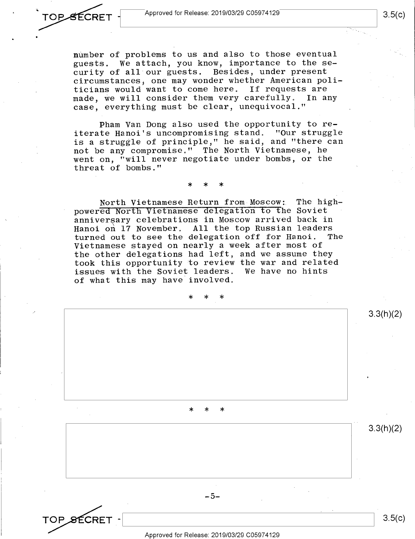OPSECRET

number of problems to us and also to those eventual guests. We attach, you know, importance to the security of all our guests. Besides, under present circumstances, one may wonder whether American politicians would want to come here. If requests are made, we will consider them very carefully. In any case, everything must be clear, unequivocal."

Pham Van Dong also used the opportunity to reiterate Hanoi's uncompromising stand. "Our struggle is a struggle of principle," he said, and "there can not be any compromise." The North Vietnamese, he went on, "will never negotiate under bombs, or the threat of bombs."

\* \* \*

North Vietnamese Return from Moscow: The highpowered North Vietnamese delegation to the Soviet anniversary celebrations in Moscow arrived back in Hanoi on 17 November. All the top Russian leaders<br>turned out to see the delegation off for Hanoi. The turned out to see the delegation off for Hanoi. Vietnamese stayed on nearly a week after most of the other delegations had left, and we assume they took this opportunity to review the war and related issues with the Soviet leaders. We have no hints of what this may have involved.

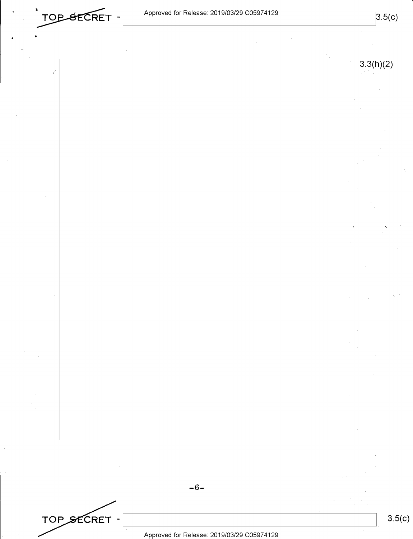TOP SECRET -

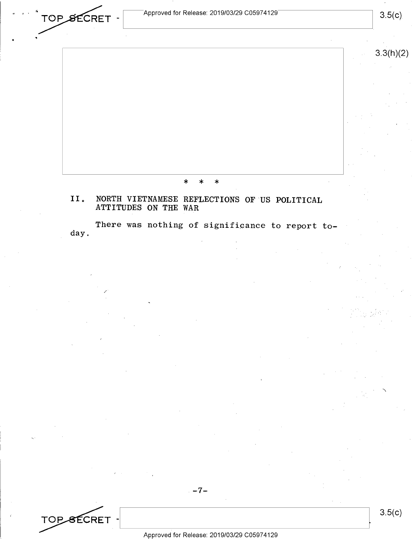$\sqrt{2}$  Approved for Release: 2019/03/29 C05974129

 $\star$ 

3.3(h)(2)

\* \* \* II. NORTH VIETNAMESE REFLECTIONS OF US POLITICAL

## ATTITUDES ON THE WAR

There was nothing of significance to report today.

TOP SECRET - APPERIAL 2010/02/20 C05074120

/

TOP SECRET -